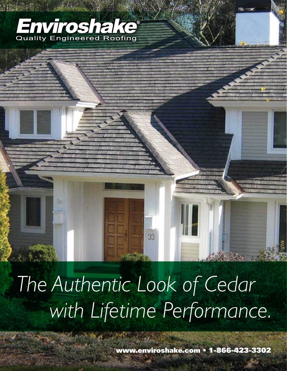# Enviroshake<sup>®</sup>

# *The Authentic Look of Cedar with Lifetime Performance.*

33

www.enviroshake.com • 1-866-423-3302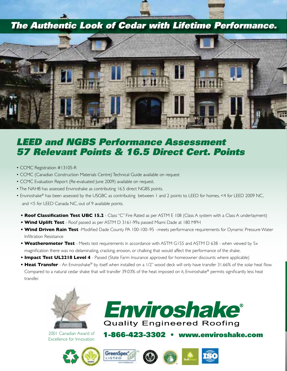## *The Authentic Look of Cedar with Lifetime Performance.*



## *LEED and NGBS Performance Assessment 57 Relevant Points & 16.5 Direct Cert. Points*

- CCMC Registration #13105-R
- CCMC (Canadian Construction Materials Centre) Technical Guide available on request
- CCMC Evaluation Report (Re-evaluated June 2009) available on request.
- The NAHB has assessed Enviroshake as contributing 16.5 direct NGBS points.
- Enviroshake® has been assessed by the USGBC as contributing between 1 and 2 points to LEED for homes, <4 for LEED 2009 NC, and <5 for LEED Canada NC, out of 9 available points.
	- **Roof Classification Test UBC 15.2** Class "C" Fire Rated as per ASTM E 108 (Class A system with a Class A underlayment)
	- **Wind Uplift Test** Roof passed as per ASTM D 3161-99a passed Miami Dade at 180 MPH
	- **Wind Driven Rain Test** -Modified Dade County PA 100-100–95 –meets performance requirements for Dynamic Pressure Water Infiltration Resistance
	- **Weatherometer Test** Meets test requirements in accordance with ASTM G155 and ASTM D 638 when viewed by 5x magnification there was no delaminating, cracking, erosion, or chalking that would affect the performance of the shake.
	-
	- **Impact Test UL2218 Level 4** Passed (State Farm Insurance approved for homeowner discounts where applicable)<br>• **Heat Transfer** An Enviroshake® by itself when installed on a 1/2" wood deck will only have transfer 31.6 Compared to a natural cedar shake that will transfer 39.03% of the heat imposed on it, Enviroshake® permits significantly less heat<br>transfer. **• Heat Transfer** - An Enviroshake® by itself when installed on a 1/2" wood deck will only have transfer 31.66% of the solar heat flow. transfer.



2001 Canadian Award of Excellence for Innovation











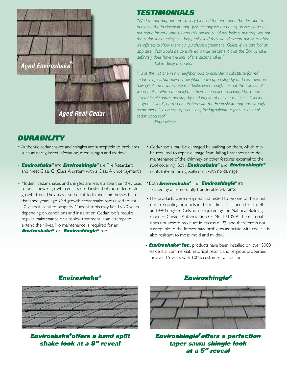

#### *TESTIMONIALS how great the Enviroshake roof looks even though it is not the traditional wood roof to which the neighbors have been used to seeing. I have had*

"We love our roof and are so very pleased that we made the decision to *purchase the Enviroshake roof. Just recently we had an appraiser come to* and strongly  $\int_{0}^{2\pi}$ *our home for an appraisal and this person could not believe our roof was not* the cedar shake shingles. They finally said they would accept our word after we offered to show them our purchase agreement. Guess, if we can fool an *appraiser, that would be considered a true testament that the Enviroshake*<br>definitely does have the leak of the codar shakes." *definitely does have the look of the cedar shakes."*

*-Bill & Betsy Buchanan*   $\alpha$  and shakes and shakes and shakes are susceptible to problems are susceptible to problems are susceptible to problems are susceptible to problems are susceptible to problems are susceptible to problems are susceptible

"I was the 1st one in my neighborhood to consider a substitute for red *cedar shingles, but now my neighbors have often stop by and comment on*  $\alpha$ essal shingles, see horting holghs have spent step by and commence on and meet chimney or our other features and meet  $\alpha$  system with a system with a system with a system with a system with a system with a system with a s *wow* great the Enviroshake roof looks even though it is not the traditional line is a strong that if  $\alpha$  both and  $\alpha$ roof to much the roofs to be all about the roofs interesting walked on the roofs in the roofs in the roofs of than the roofs in the roofs in the roofs in the roofs in the roofs in the roofs in the roofs in the roofs in the so great. Overall, I am very satisfied with the Enviroshake roof and strongly so great. Overall, I am very sauspied with the Enviroshake roof and strong<br>recommend it as a cost efficient, long lasting substitute for a traditional *cedar wood roof. "* be as a cost efference iong ideang substitute for a d *Endit, i difficulty* sadspeed with the Enviroshing foot and submgry<br>It as a cost efficient, long lasting substitute for a traditional

*-Peter Minior* • The products were designed and tested to be one of the most

### **DURABILITY depending on conditions require**  $\mathbf{C} = \mathbf{C} \mathbf{C}$

- Authentic cedar shakes and shingles are susceptible to problems such as decay, insect infestation, moss, fungus and mildew. regular maintenance or a topical treatment in an attempt to entic cedar shakes and shingles are susceptible to pro-
- **Enviroshake<sup>®</sup> and Enviroshingle<sup>®</sup> are Fire Retardant** and meet Class C (Class A system with a Class A underlayment.)
- Modern cedar shakes and shingles are less durable than they used to be as newer growth cedar is used instead of more dense old growth trees. They may also be cut to thinner thicknesses than that used years ago. Old growth cedar shake roofs used to last **Fig. 11.12 Products** were designed and tested to be one 40 years if installed properly. Current roofs may last 15-20 years depending on conditions and installation. Cedar roofs require regular maintenance or a topical treatment in an attempt to extend their lives. No maintenance is required for an  $\it Enviroshake^{\otimes}$  or **Enviroshingle<sup>®</sup> roof.**
- Cedar roofs may be damaged by walking on them, which may be required to repair damage from falling branches or to do maintenance of the chimney or other features external to the roof covering. Both *Enviroshake®* and *Enviroshingle®* roofs tolerate being walked on with no damage. residential comparative commercial, resort, and religious properties properties properties properties properties
- **Both** *Enviroshake®* **and** *Enviroshingle®* **are**  backed by a lifetime, fully transferable warranty. *Enviroshake ® Enviroshingle®*
	- The products were designed and tested to be one of the most durable roofing products in the market. It has been test to -40 and +40 degrees Celsius as required by the National Building Code of Canada Authorization CCMC 13105-R. The material does not absorb moisture in excess of 3% and therefore is not susceptible to the freeze/thaw problems associate with cedar. It is also resistant to moss, mold and mildew.
	- **Enviroshake<sup>®</sup> Inc.** products have been installed on over 5000 residential commercial, historical, resort, and religious properties for over 15 years with 100% customer satisfaction.



*Enviroshake ® Enviroshingle®*

*Enviroshake offers a hand split ® ®shake look at a 9" reveal*

#### ${\it Enviroshake^{\otimes}}$  a  ${\it Enviroshingle^{\otimes}}$



*Enviroshake ®* offers a hand split shake look *a t a �9 "* reveal *at a 5" reveal Enviroshingle offers a perfection taper sawn shingle look*